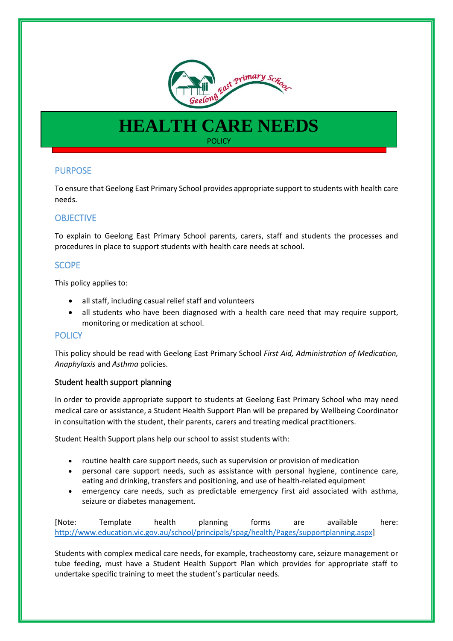

# **HEALTH CARE NEEDS POLICY**

# PURPOSE

To ensure that Geelong East Primary School provides appropriate support to students with health care needs.

# **OBJECTIVE**

To explain to Geelong East Primary School parents, carers, staff and students the processes and procedures in place to support students with health care needs at school.

## SCOPE

This policy applies to:

- all staff, including casual relief staff and volunteers
- all students who have been diagnosed with a health care need that may require support, monitoring or medication at school.

## **POLICY**

This policy should be read with Geelong East Primary School *First Aid, Administration of Medication, Anaphylaxis* and *Asthma* policies.

## Student health support planning

In order to provide appropriate support to students at Geelong East Primary School who may need medical care or assistance, a Student Health Support Plan will be prepared by Wellbeing Coordinator in consultation with the student, their parents, carers and treating medical practitioners.

Student Health Support plans help our school to assist students with:

- routine health care support needs, such as supervision or provision of medication
- personal care support needs, such as assistance with personal hygiene, continence care, eating and drinking, transfers and positioning, and use of health-related equipment
- emergency care needs, such as predictable emergency first aid associated with asthma, seizure or diabetes management.

[Note: Template health planning forms are available here: [http://www.education.vic.gov.au/school/principals/spag/health/Pages/supportplanning.aspx\]](http://www.education.vic.gov.au/school/principals/spag/health/Pages/supportplanning.aspx)

Students with complex medical care needs, for example, tracheostomy care, seizure management or tube feeding, must have a Student Health Support Plan which provides for appropriate staff to undertake specific training to meet the student's particular needs.